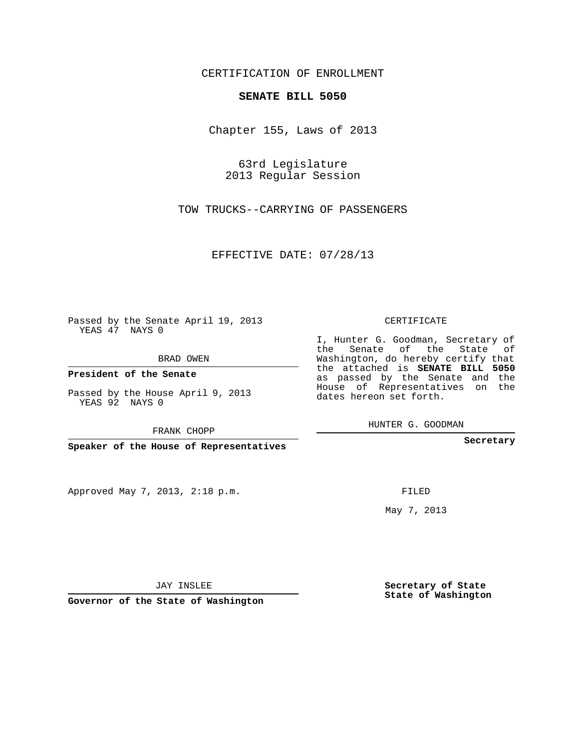## CERTIFICATION OF ENROLLMENT

### **SENATE BILL 5050**

Chapter 155, Laws of 2013

63rd Legislature 2013 Regular Session

TOW TRUCKS--CARRYING OF PASSENGERS

EFFECTIVE DATE: 07/28/13

 $\sim 10^{11}$ 

Passed by the Senate April 19, 2013 YEAS 47 NAYS 0

BRAD OWEN

**President of the Senate**

Passed by the House April 9, 2013 YEAS 92 NAYS 0

FRANK CHOPP

**Speaker of the House of Representatives**

Approved May 7, 2013, 2:18 p.m.

CERTIFICATE

I, Hunter G. Goodman, Secretary of the Senate of the State of Washington, do hereby certify that the attached is **SENATE BILL 5050** as passed by the Senate and the House of Representatives on the dates hereon set forth.

HUNTER G. GOODMAN

**Secretary**

FILED

May 7, 2013

**Secretary of State State of Washington**

JAY INSLEE

**Governor of the State of Washington**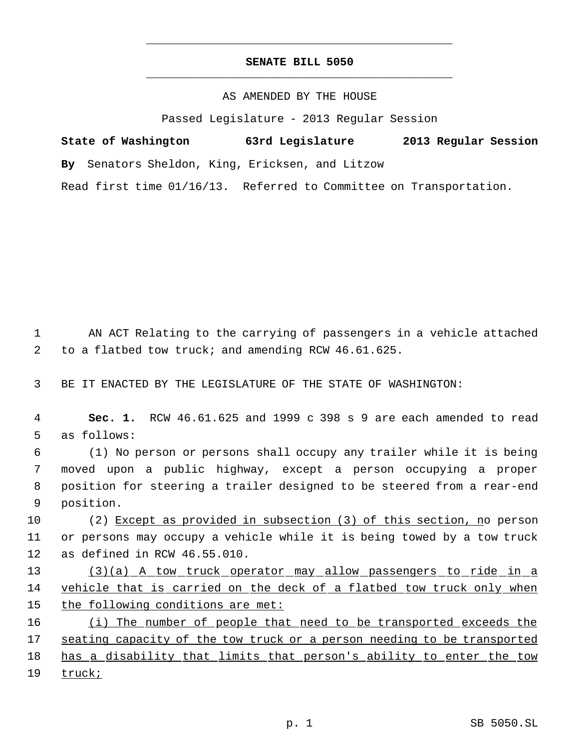# **SENATE BILL 5050** \_\_\_\_\_\_\_\_\_\_\_\_\_\_\_\_\_\_\_\_\_\_\_\_\_\_\_\_\_\_\_\_\_\_\_\_\_\_\_\_\_\_\_\_\_

\_\_\_\_\_\_\_\_\_\_\_\_\_\_\_\_\_\_\_\_\_\_\_\_\_\_\_\_\_\_\_\_\_\_\_\_\_\_\_\_\_\_\_\_\_

## AS AMENDED BY THE HOUSE

Passed Legislature - 2013 Regular Session

| State of Washington |                                                 |  | 63rd Legislature |  |  | 2013 Regular Session |  |
|---------------------|-------------------------------------------------|--|------------------|--|--|----------------------|--|
|                     | By Senators Sheldon, King, Ericksen, and Litzow |  |                  |  |  |                      |  |

Read first time 01/16/13. Referred to Committee on Transportation.

 1 AN ACT Relating to the carrying of passengers in a vehicle attached 2 to a flatbed tow truck; and amending RCW 46.61.625.

3 BE IT ENACTED BY THE LEGISLATURE OF THE STATE OF WASHINGTON:

 4 **Sec. 1.** RCW 46.61.625 and 1999 c 398 s 9 are each amended to read 5 as follows:

 (1) No person or persons shall occupy any trailer while it is being moved upon a public highway, except a person occupying a proper position for steering a trailer designed to be steered from a rear-end position.

10 (2) Except as provided in subsection (3) of this section, no person 11 or persons may occupy a vehicle while it is being towed by a tow truck 12 as defined in RCW 46.55.010.

- 13 (3)(a) A tow truck operator may allow passengers to ride in a 14 vehicle that is carried on the deck of a flatbed tow truck only when 15 the following conditions are met:
- 16 (i) The number of people that need to be transported exceeds the 17 seating capacity of the tow truck or a person needing to be transported 18 has a disability that limits that person's ability to enter the tow
- 19 truck;